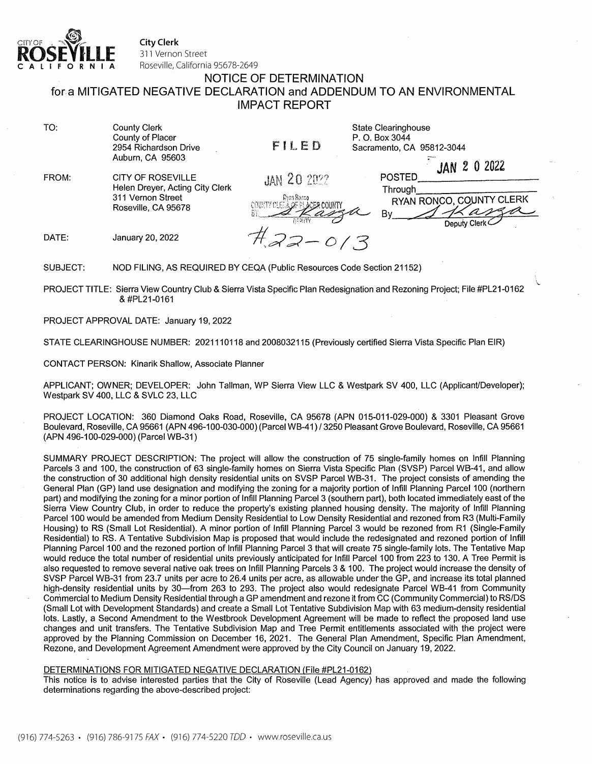

City Clerk 311 Vernon Street **CALIFORNIA** Roseville, California 95678-2649

# NOTICE OF DETERMINATION for.a MITIGATED NEGATIVE DECLARATION and ADDENDUM TO AN ENVIRONMENTAL

IMPACT REPORT

| TO:   | <b>County Clerk</b><br>County of Placer<br>2954 Richardson Drive<br>Auburn, CA 95603             | FILED                                                             | <b>State Clearinghouse</b><br>P. O. Box 3044<br>Sacramento, CA 95812-3044 |
|-------|--------------------------------------------------------------------------------------------------|-------------------------------------------------------------------|---------------------------------------------------------------------------|
| FROM: | CITY OF ROSEVILLE<br>Helen Dreyer, Acting City Clerk<br>311 Vernon Street<br>Roseville, CA 95678 | <b>JAN 20 2022</b><br>Ryan Ronco<br>COURTY CLETA OF PLACER COUNTY | JAN 2 0 2022<br>POSTED<br>Through<br>RYAN RONCO, COUNTY CLERK<br>Bv       |
| DATE: | January 20, 2022                                                                                 | $\mathcal{A}=-0$                                                  | Deputy Clerk<br>73                                                        |

SUBJECT: NOD FILING, AS REQUIRED BY CEQA (Public Resources Code Section 21152)

PROJECT TITLE: Sierra View Country Club & Sierra Vista Specific Plan Redesignation and Rezoning Project; File #PL21-0162 & #PL21-0161

\. •.

PROJECT APPROVAL DATE: January 19, 2022

STATE CLEARINGHOUSE NUMBER: 2021110118 and 2008032115 (Previously certified Sierra Vista Specific Plan EIR)

CONTACT PERSON: Kinarik Shallow, Associate Planner

APPLICANT; OWNER; DEVELOPER: John Tallman, WP Sierra View LLC & Westpark SV 400, LLC (Applicant/Developer); Westpark SV 400, LLC & SVLC 23, LLC

PROJECT LOCATION: 360 Diamond Oaks Road, Roseville, CA 95678 (APN 015-011-029-000) & 3301 Pleasant Grove Boulevard, Roseville, CA 95661 (APN 496-100-030-000) (Parcel WB-41) / 3250 Pleasant Grove Boulevard, Roseville, CA 95661 (APN 496-100-029-000) (Parcel WB-31)

SUMMARY PROJECT DESCRIPTION: The project will allow the construction of 75 single-family homes on Infill Planning Parcels 3 and 100, the construction of 63 single-family homes on Sierra Vista Specific Plan (SVSP) Parcel WB-41, and allow the construction of 30 additional high density residential units on SVSP Parcel WB-31. The project consists of amending the General Plan (GP) land use designation and modifying the zoning for a majority portion of Infill Planning Parcel 100 (northern part) and modifying the zoning for a minor portion of Infill Planning Parcel 3 (southern part), both located immediately east of the Sierra View Country Club, in order to reduce the property's existing planned housing density. The majority of Infill Planning Parcel 100 would be amended from Medium Density Residential to Low Density Residential and rezoned from R3 (Multi-Family Housing) to RS (Small Lot Residential). A minor portion of Infill Planning Parcel 3 would be rezoned from R1 (Single-Family Residential) to RS. A Tentative Subdivision Map is proposed that would include the redesignated and rezoned portion of Infill Planning Parcel 100 and the rezoned portion of Infill Planning Parcel 3 that will create 75 single-family lots. The Tentative Map would reduce the total number of residential units previously anticipated for Infill Parcel 100 from 223 to 130. A Tree Permit is also requested to remove several native oak trees on Infill Planning Parcels 3 & 100. The project would increase the density of SVSP Parcel WB-31 from 23.7 units per acre to 26.4 units per acre, as allowable under the GP, and increase its total planned high-density residential units by 30-from 263 to 293. The project also would redesignate Parcel WB-41 from Community Commercial to Medium Density Residential through a GP amendment and rezone it from CC (Community Commercial) to RS/OS (Small Lot with Development Standards) and create a Small Lot Tentative Subdivision Map with 63 medium-density residential lots. Lastly, a Second Amendment to the Westbrook Development Agreement will be made to reflect the proposed land use changes and unit transfers. The Tentative Subdivision Map and Tree Permit entitlements associated with the project were approved by the Planning Commission on December 16, 2021. The General Plan Amendment, Specific Plan Amendment, Rezone, and Development Agreement Amendment were approved by the City Council on January 19, 2022.

## DETERMINATIONS FOR MITIGATED NEGATIVE DECLARATION (File #PL21-0162)

This notice is to advise interested parties that the City of Roseville (Lead Agency) has approved and made the following determinations regarding the above-described project: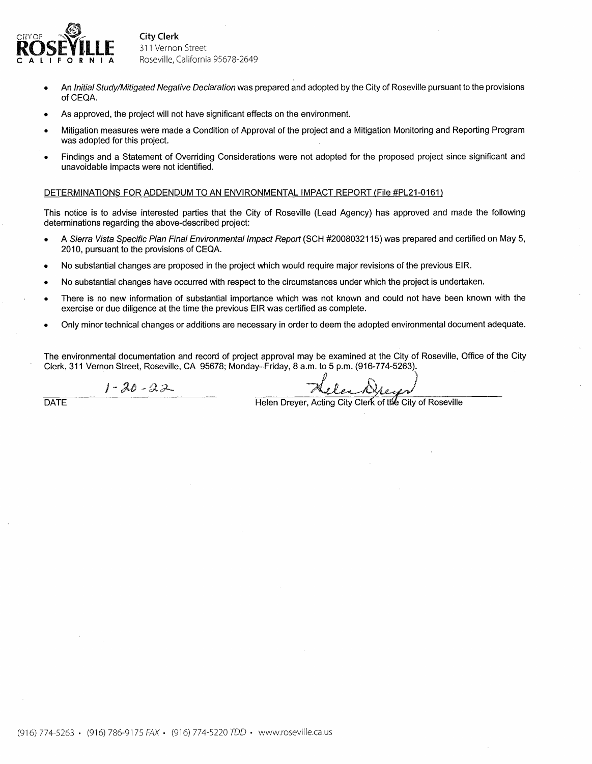

City Clerk 311 Vernon Street Roseville, California 95678-2649

- An Initial Study/Mitigated Negative Declaration was prepared and adopted by the City of Roseville pursuant to the provisions of CEQA.
- As approved, the project will not have significant effects on the environment.
- Mitigation measures were made a Condition of Approval of the project and a Mitigation Monitoring and Reporting Program was adopted for this project.
- Findings and a Statement of Overriding Considerations were not adopted for the proposed project since significant and unavoidable impacts were not identified.

## DETERMINATIONS FOR ADDENDUM TO AN ENVIRONMENTAL IMPACT REPORT {File #PL21-0161)

This notice is to advise interested parties that the City of Roseville (Lead Agency) has approved and made the following determinations regarding the above-described project:

- A Sierra Vista Specific Plan Final Environmental Impact Report (SCH #2008032115) was prepared and certified on May 5, 2010, pursuant to the provisions of CEQA.
- No substantial changes are proposed in the project which would require major revisions of the previous EIR.
- No substantial changes have occurred with respect to the circumstances under which the project is undertaken.
- There is no new information of substantial importance which was not known and could not have been known with the exercise or due diligence at the time the previous EIR was certified as complete.
- Only minor technical changes or additions are necessary in order to deem the adopted environmental document adequate.

The environmental documentation and record of project approval may be examined at the City of Roseville, Office of the City Clerk, 311 Vernon Street, Roseville, CA 95678; Monday-Friday, 8 a.m. to 5 p.m. (916-774-5263).

 $1 - 20 - 22$ 

 $\lambda$ elex Drey)

DATE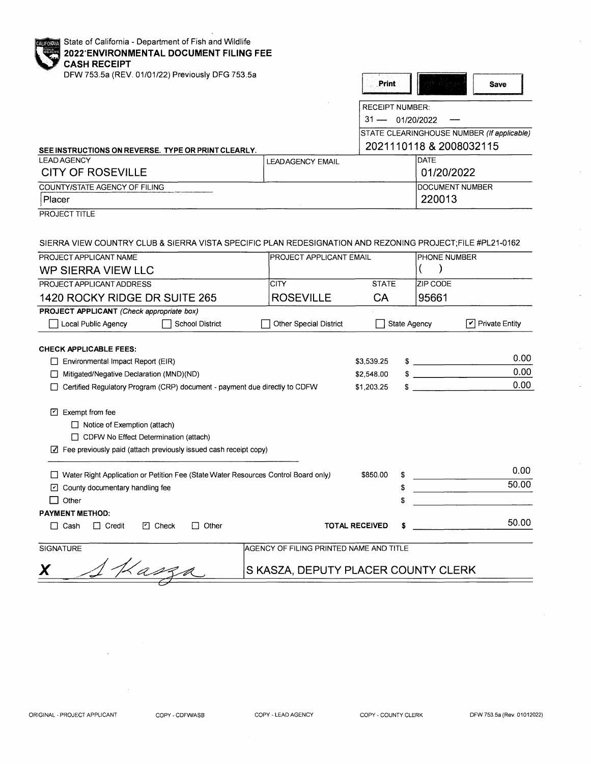| State of California - Department of Fish and Wildlife<br><b>CALIFORNIA</b><br><b>2022'ENVIRONMENTAL DOCUMENT FILING FEE</b> |                                         |                        |                     |                                            |              |                       |
|-----------------------------------------------------------------------------------------------------------------------------|-----------------------------------------|------------------------|---------------------|--------------------------------------------|--------------|-----------------------|
| <b>CASH RECEIPT</b><br>DFW 753.5a (REV. 01/01/22) Previously DFG 753.5a                                                     |                                         | Print                  |                     |                                            | <b>Save</b>  |                       |
|                                                                                                                             |                                         | <b>RECEIPT NUMBER:</b> |                     |                                            |              |                       |
|                                                                                                                             |                                         | $31 -$                 |                     | 01/20/2022                                 |              |                       |
|                                                                                                                             |                                         |                        |                     | STATE CLEARINGHOUSE NUMBER (If applicable) |              |                       |
| SEE INSTRUCTIONS ON REVERSE. TYPE OR PRINT CLEARLY.                                                                         |                                         |                        |                     | 2021110118 & 2008032115                    |              |                       |
| <b>LEAD AGENCY</b>                                                                                                          | <b>LEADAGENCY EMAIL</b>                 |                        |                     | <b>DATE</b>                                |              |                       |
| <b>CITY OF ROSEVILLE</b>                                                                                                    |                                         |                        |                     | 01/20/2022                                 |              |                       |
| COUNTY/STATE AGENCY OF FILING                                                                                               |                                         |                        |                     | <b>DOCUMENT NUMBER</b>                     |              |                       |
| Placer                                                                                                                      |                                         |                        |                     | 220013                                     |              |                       |
| <b>PROJECT TITLE</b>                                                                                                        |                                         |                        |                     |                                            |              |                       |
|                                                                                                                             |                                         |                        |                     |                                            |              |                       |
| SIERRA VIEW COUNTRY CLUB & SIERRA VISTA SPECIFIC PLAN REDESIGNATION AND REZONING PROJECT;FILE #PL21-0162                    |                                         |                        |                     |                                            |              |                       |
| PROJECT APPLICANT NAME                                                                                                      | <b>PROJECT APPLICANT EMAIL</b>          |                        |                     | PHONE NUMBER                               |              |                       |
| <b>WP SIERRA VIEW LLC</b>                                                                                                   |                                         |                        |                     | J                                          |              |                       |
| PROJECT APPLICANT ADDRESS                                                                                                   | <b>CITY</b>                             | <b>STATE</b>           |                     | ZIP CODE                                   |              |                       |
| 1420 ROCKY RIDGE DR SUITE 265                                                                                               | <b>ROSEVILLE</b>                        | <b>CA</b>              |                     | 95661                                      |              |                       |
| PROJECT APPLICANT (Check appropriate box)                                                                                   |                                         |                        |                     |                                            |              |                       |
| Local Public Agency<br>School District                                                                                      | <b>Other Special District</b>           |                        | <b>State Agency</b> |                                            | $\mathbf{v}$ | <b>Private Entity</b> |
| <b>CHECK APPLICABLE FEES:</b>                                                                                               |                                         |                        |                     |                                            |              |                       |
| $\Box$ Environmental Impact Report (EIR)                                                                                    |                                         | \$3,539.25             |                     | $\frac{1}{2}$                              |              | 0.00                  |
| Mitigated/Negative Declaration (MND)(ND)                                                                                    |                                         | \$2,548.00             |                     | <u>and the community of the community</u>  |              | 0.00                  |
| Certified Regulatory Program (CRP) document - payment due directly to CDFW                                                  |                                         | \$1,203.25             | \$                  |                                            |              | 0.00                  |
|                                                                                                                             |                                         |                        |                     |                                            |              |                       |
| $\boxed{7}$ Exempt from fee                                                                                                 |                                         |                        |                     |                                            |              |                       |
| $\Box$ Notice of Exemption (attach)                                                                                         |                                         |                        |                     |                                            |              |                       |
| CDFW No Effect Determination (attach)                                                                                       |                                         |                        |                     |                                            |              |                       |
| $\Box$ Fee previously paid (attach previously issued cash receipt copy)                                                     |                                         |                        |                     |                                            |              |                       |
|                                                                                                                             |                                         |                        |                     |                                            |              | 0.00                  |
| □ Water Right Application or Petition Fee (State Water Resources Control Board only)                                        |                                         | \$850.00               | \$                  |                                            |              | 50.00                 |
| $\Box$ County documentary handling fee                                                                                      |                                         |                        | \$                  |                                            |              |                       |
| Other                                                                                                                       |                                         |                        | \$                  |                                            |              |                       |
| <b>PAYMENT METHOD:</b><br>$\Box$ Credit<br>$\Box$ Check<br>$\Box$ Other<br>$\Box$ Cash                                      |                                         | <b>TOTAL RECEIVED</b>  |                     |                                            |              | 50.00                 |
|                                                                                                                             |                                         |                        |                     |                                            |              |                       |
| SIGNATURE                                                                                                                   | AGENCY OF FILING PRINTED NAME AND TITLE |                        |                     |                                            |              |                       |
| 1 Kasza<br>X                                                                                                                | S KASZA, DEPUTY PLACER COUNTY CLERK     |                        |                     |                                            |              |                       |

 $\bar{\gamma}$ 

 $\bar{z}$ 

 $\bar{\gamma}$ 

 $\overline{\phantom{a}}$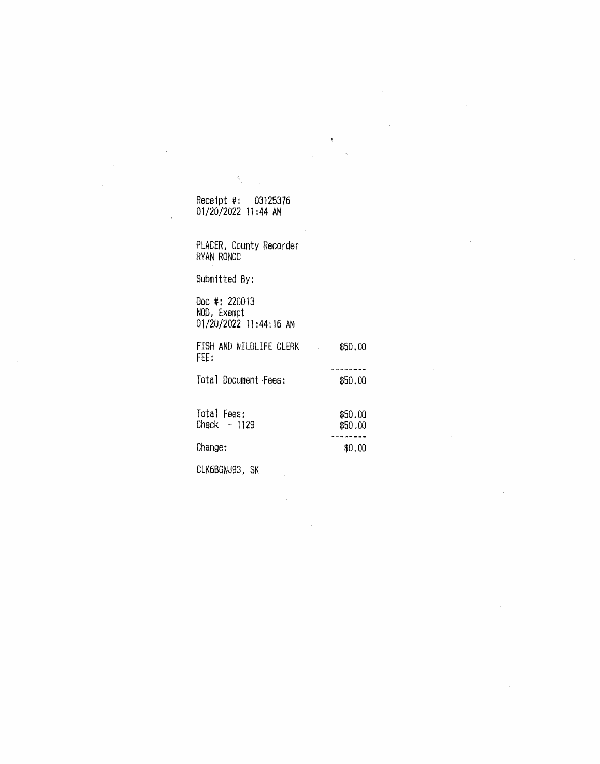# Receipt#: 03125376 01/20/2022 11:44 AM

 $\frac{d_{\rm B}}{d_{\rm B}}$ 

PLACER, County Recorder RYAN RONCO

Submitted By:

Doc#: 220013 NOD, Exempt 01/20/2022 11:44:16 AM

FISH AND WILDLIFE CLERK \$50.00 FEE: ---------Total Document Fees: \$50.00

Total Fees:  $$50.00$  $Check - 1129$   $$50.00$ ------Change:  $\text{ }$  \$0.00

GLK6BGWJ93; SK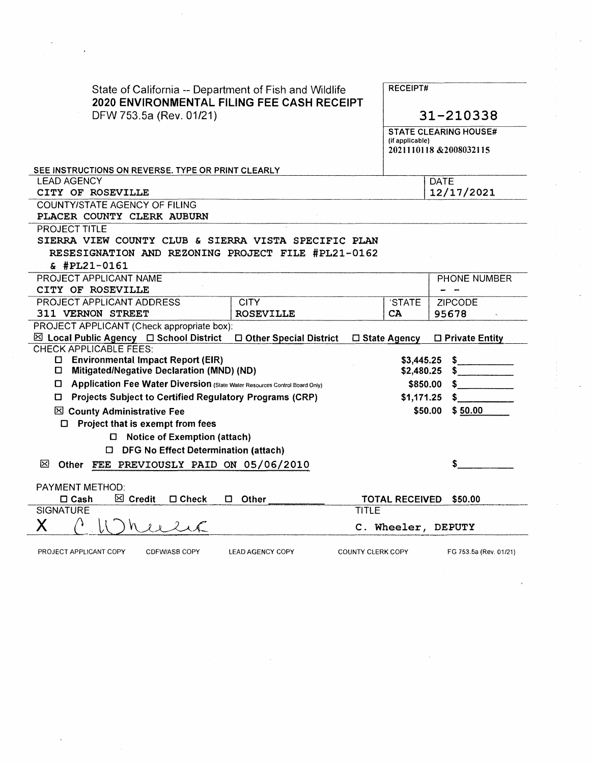| State of California -- Department of Fish and Wildlife<br>2020 ENVIRONMENTAL FILING FEE CASH RECEIPT<br>DFW 753.5a (Rev. 01/21) |                          |                          |                       | <b>RECEIPT#</b>              |  |  |  |  |
|---------------------------------------------------------------------------------------------------------------------------------|--------------------------|--------------------------|-----------------------|------------------------------|--|--|--|--|
|                                                                                                                                 |                          |                          |                       | 31-210338                    |  |  |  |  |
|                                                                                                                                 |                          |                          |                       | <b>STATE CLEARING HOUSE#</b> |  |  |  |  |
|                                                                                                                                 |                          |                          | (if applicable)       | 2021110118 & 2008032115      |  |  |  |  |
|                                                                                                                                 |                          |                          |                       |                              |  |  |  |  |
| SEE INSTRUCTIONS ON REVERSE. TYPE OR PRINT CLEARLY                                                                              |                          |                          |                       |                              |  |  |  |  |
| <b>LEAD AGENCY</b>                                                                                                              |                          |                          |                       | <b>DATE</b>                  |  |  |  |  |
| CITY OF ROSEVILLE                                                                                                               |                          |                          | 12/17/2021            |                              |  |  |  |  |
| <b>COUNTY/STATE AGENCY OF FILING</b>                                                                                            |                          |                          |                       |                              |  |  |  |  |
| PLACER COUNTY CLERK AUBURN                                                                                                      |                          |                          |                       |                              |  |  |  |  |
| PROJECT TITLE                                                                                                                   |                          |                          |                       |                              |  |  |  |  |
| SIERRA VIEW COUNTY CLUB & SIERRA VISTA SPECIFIC PLAN                                                                            |                          |                          |                       |                              |  |  |  |  |
| RESESIGNATION AND REZONING PROJECT FILE #PL21-0162<br>$$$ #PL21-0161                                                            |                          |                          |                       |                              |  |  |  |  |
| PROJECT APPLICANT NAME                                                                                                          |                          |                          |                       | PHONE NUMBER                 |  |  |  |  |
| CITY OF ROSEVILLE                                                                                                               |                          |                          |                       |                              |  |  |  |  |
| PROJECT APPLICANT ADDRESS                                                                                                       | <b>CITY</b>              |                          | 'STATE                | <b>ZIPCODE</b>               |  |  |  |  |
| 311 VERNON STREET                                                                                                               | <b>ROSEVILLE</b>         |                          | CA                    | 95678                        |  |  |  |  |
| PROJECT APPLICANT (Check appropriate box):                                                                                      |                          |                          |                       |                              |  |  |  |  |
| $\boxtimes$ Local Public Agency $\Box$ School District                                                                          | □ Other Special District | □ State Agency           |                       | $\Box$ Private Entity        |  |  |  |  |
| <b>CHECK APPLICABLE FEES:</b>                                                                                                   |                          |                          |                       |                              |  |  |  |  |
| □ Environmental Impact Report (EIR)                                                                                             |                          |                          | \$3,445.25            | \$                           |  |  |  |  |
| Mitigated/Negative Declaration (MND) (ND)<br>0                                                                                  |                          |                          | \$2,480.25<br>\$      |                              |  |  |  |  |
| D Application Fee Water Diversion (State Water Resources Control Board Only)                                                    |                          |                          | \$850.00              | S                            |  |  |  |  |
| □ Projects Subject to Certified Regulatory Programs (CRP)                                                                       |                          |                          | \$1,171.25            | s                            |  |  |  |  |
| ⊠ County Administrative Fee                                                                                                     |                          |                          | \$50.00               | \$50.00                      |  |  |  |  |
| $\Box$ Project that is exempt from fees                                                                                         |                          |                          |                       |                              |  |  |  |  |
| $\Box$ Notice of Exemption (attach)                                                                                             |                          |                          |                       |                              |  |  |  |  |
| □ DFG No Effect Determination (attach)                                                                                          |                          |                          |                       |                              |  |  |  |  |
| ×<br>Other FEE PREVIOUSLY PAID ON 05/06/2010                                                                                    |                          |                          |                       | \$                           |  |  |  |  |
| PAYMENT METHOD:                                                                                                                 |                          |                          |                       |                              |  |  |  |  |
| $\Box$ Cash<br>$\boxtimes$ Credit<br>$\square$ Check<br>o                                                                       | Other                    |                          | <b>TOTAL RECEIVED</b> | \$50.00                      |  |  |  |  |
| <b>SIGNATURE</b>                                                                                                                |                          | <b>TITLE</b>             |                       |                              |  |  |  |  |
| Χ<br>1216                                                                                                                       |                          |                          |                       | C. Wheeler, DEPUTY           |  |  |  |  |
| PROJECT APPLICANT COPY<br><b>CDFW/ASB COPY</b>                                                                                  | <b>LEAD AGENCY COPY</b>  | <b>COUNTY CLERK COPY</b> |                       | FG 753.5a (Rev. 01/21)       |  |  |  |  |

 $\label{eq:2.1} \frac{1}{\sqrt{2\pi}}\sum_{i=1}^n\frac{1}{\sqrt{2\pi}}\sum_{i=1}^n\frac{1}{\sqrt{2\pi}}\sum_{i=1}^n\frac{1}{\sqrt{2\pi}}\sum_{i=1}^n\frac{1}{\sqrt{2\pi}}\sum_{i=1}^n\frac{1}{\sqrt{2\pi}}\sum_{i=1}^n\frac{1}{\sqrt{2\pi}}\sum_{i=1}^n\frac{1}{\sqrt{2\pi}}\sum_{i=1}^n\frac{1}{\sqrt{2\pi}}\sum_{i=1}^n\frac{1}{\sqrt{2\pi}}\sum_{i=1}^n\$ 

 $\frac{1}{2}$ 

 $\label{eq:2} \frac{1}{\sqrt{2}}\left(\frac{1}{\sqrt{2}}\right)^{2} \left(\frac{1}{\sqrt{2}}\right)^{2}$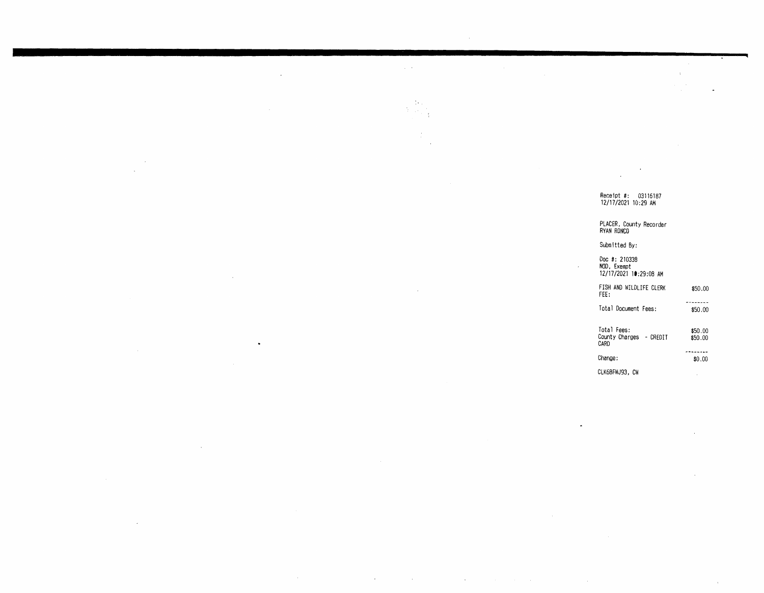Receipt#: 03116187 12/17/2021 10 :29 AM

 $\ddot{\phantom{0}}$ 

 $\pm$ 

# PLACER , County Recorder RYAN RONCO

Submitted By:

 $\sim$ 

 $\sim 10^{-1}$  k  $^{-1}$ 

 $\alpha$ 

 $\alpha$ 

 $\Delta \phi$  $\mathcal{A}^{\text{eff}}$ 

 $\mathcal{L}$ 

Doc #: 210338 NOD, Exempt 12/17/2021 **lt:29:08** AM FISH AND WILDLIFE CLERK \$50.00 FEE: Total Document Fees: \$50.00 Total Fees: \$50. oo County Charges - CREDIT \$50.00 CARD -------- $Change:$   $$0.00$ CLK6BFWJ93, CW

 $\sim$ 

 $\alpha$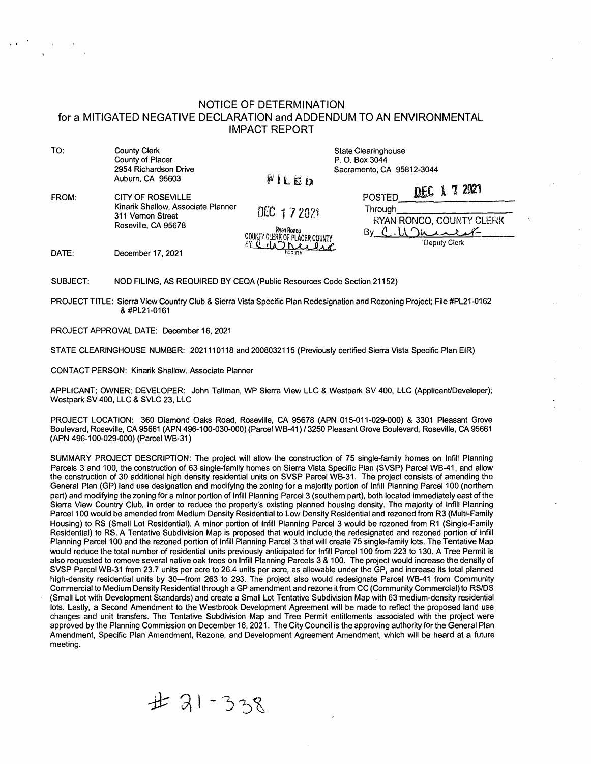## NOTICE OF DETERMINATION for a MITIGATED NEGATIVE DECLARATION and ADDENDUM TO AN ENVIRONMENTAL IMPACT REPORT

TO: County Clerk County of Placer 2954 Richardson Drive Auburn, CA 95603

DATE:

State Clearinghouse P. 0. Box 3044 Sacramento, CA 95812-3044

FROM: CITY OF ROSEVILLE Kinarik Shallow, Associate Planner 311 Vernon Street Roseville, CA 95678

December 17, 2021

COUNTY CLER **K OF PLACER COUNTY** 

DEC 1 7 2021

FILER

| POSTED        | DEC 1 7 2021 |  |                          |  |  |
|---------------|--------------|--|--------------------------|--|--|
| Through       |              |  |                          |  |  |
|               |              |  | RYAN RONCO, COUNTY CLERK |  |  |
| By C. U Junet |              |  |                          |  |  |
| Deputy Clerk  |              |  |                          |  |  |

SUBJECT: NOD FILING, AS REQUIRED BY CEQA (Public Resources Code Section 21152)

PROJECT TITLE: Sierra View Country Club & Sierra Vista Specific Plan Redesignation and Rezoning Project; File #PL21-0162 & #PL21-0161

PROJECT APPROVAL DATE: December 16, 2021

STATE CLEARINGHOUSE NUMBER: 2021110118 and 2008032115 (Previously certified Sierra Vista Specific Plan EIR)

CONTACT PERSON: Kinarik Shallow, Associate Planner

APPLICANT; OWNER; DEVELOPER: John Tallman, WP Sierra View LLC & Westpark SV 400, LLC (Applicant/Developer); Westpark SV 400, LLC & SVLC 23, LLC

PROJECT LOCATION: 360 Diamond Oaks Road, Roseville, CA 95678 (APN 015-011-029-000) & 3301 Pleasant Grove Boulevard, Roseville, CA 95661 (APN 496-100-030-000) (Parcel WB-41) / 3250 Pleasant Grove Boulevard, Roseville, CA 95661 (APN 496-100-029-000) (Parcel WB-31)

SUMMARY PROJECT DESCRIPTION: The project will allow the construction of 75 single-family homes on Infill Planning Parcels 3 and 100, the construction of 63 single-family homes on Sierra Vista Specific Plan (SVSP) Parcel WB-41, and allow the construction of 30 additional high density residential units on SVSP Parcel WB-31. The project consists of amending the General Plan (GP) land use designation and modifying the zoning for a majority portion of Infill Planning Parcel 100 (northern part) and modifying the zoning for a minor portion of Infill Planning Parcel 3 (southern part), both located immediately east of the Sierra View Country Club, in order to reduce the property's existing planned housing density. The majority of Infill Planning Parcel 100 would be amended from Medium Density Residential to Low Density Residential and rezoned from R3 (Multi-Family Housing) to RS (Small Lot Residential). A minor portion of Infill Planning Parcel 3 would be rezoned from R1 (Single-Family Residential) to RS. A Tentative Subdivision Map is proposed that would include the redesignated and rezoned portion of Infill Planning Parcel 100 and the rezoned portion of Infill Planning Parcel 3 that will create 75 single-family lots. The Tentative Map would reduce the total number of residential units previously anticipated for Infill Parcel 100 from 223 to 130. A Tree Permit is also requested to remove several native oak trees on Infill Planning Parcels 3 & 100. The project would increase the density of SVSP Parcel WB-31 from 23.7 units per acre to 26.4 units per acre, as allowable under the GP, and increase its total planned high-density residential units by 30-from 263 to 293. The project also would redesignate Parcel WB-41 from Community Commercial to Medium Density Residential through a GP amendment and rezone it from CC (Community Commercial) to RS/OS (Small Lot with Development Standards) and create a Small Lot Tentative Subdivision Map with 63medium-density residential lots. Lastly, a Second Amendment to the Westbrook Development Agreement will be made to reflect the proposed land use changes and unit transfers. The Tentative Subdivision Map and Tree Permit entitlements associated with the project were approved by the Planning Commission on December 16, 2021. The City Council is the approving authority for the General Plan Amendment, Specific Plan Amendment, Rezone, and Development Agreement Amendment, which will be heard at a future meeting.

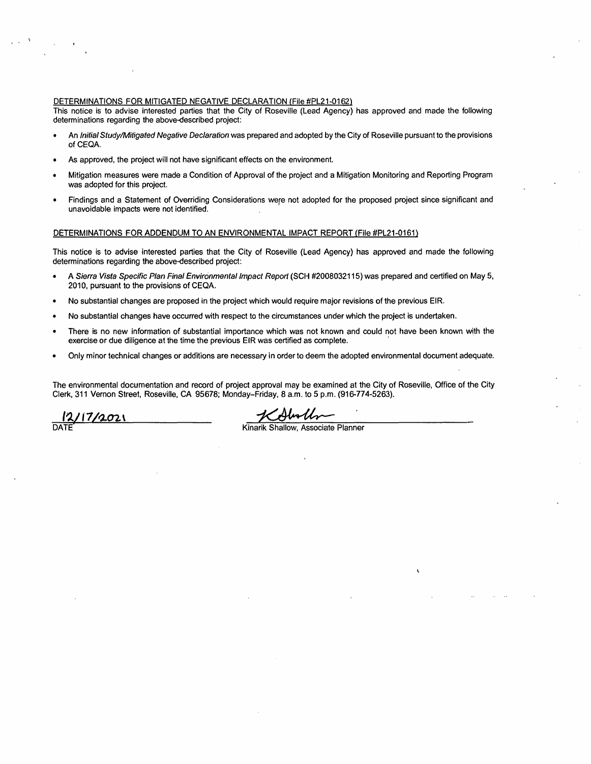## DETERMINATIONS FOR MITIGATED NEGATIVE DECLARATION {File #PL21-0162)

This notice is to advise interested parties that the City of Roseville (Lead Agency) has approved and made the following determinations regarding the above-described project:

- An Initial Study/Mitigated Negative Declaration was prepared and adopted by the City of Roseville pursuant to the provisions of CEQA.
- As approved, the project will not have significant effects on the environment.
- Mitigation measures were made a Condition of Approval of the project and a Mitigation Monitoring and Reporting Program was adopted for this project.
- Findings and a Statement of Overriding Considerations were not adopted for the proposed project since significant and unavoidable impacts were not identified.

#### DETERMINATIONS FOR ADDENDUM TO AN ENVIRONMENTAL IMPACT REPORT (File #PL21-0161)

This notice is to advise interested parties that the City of Roseville (Lead Agency) has approved and made the following determinations regarding the above-described project:

- A Sierra Vista Specific Plan Final Environmental Impact Report (SCH #2008032115) was prepared and certified on May 5, 2010, pursuant to the provisions of CEQA.
- No substantial changes are proposed in the project which would require major revisions of the previous EIR.
- No substantial changes have occurred with respect to the circumstances under which the project is undertaken.
- There is no new information of substantial importance which was not known and could not have been known with the exercise or due diligence at the time the previous EIR was certified as complete.
- Only minor technical changes or additions are necessary in order to deem the adopted environmental document adequate.

The environmental documentation and record of project approval may be examined at the City of Roseville, Office of the City Clerk, 311 Vernon Street, Roseville, CA 95678; Monday-Friday, 8 a.m. to 5 p.m. (916-774-5263). ect approval may be examined at the City of Ros<br>ay–Friday, 8 a.m. to 5 p.m. (916-774-5263).<br>Kinarik Shallow, Associate Planner

I?../ l *1* **/"902** \

DATE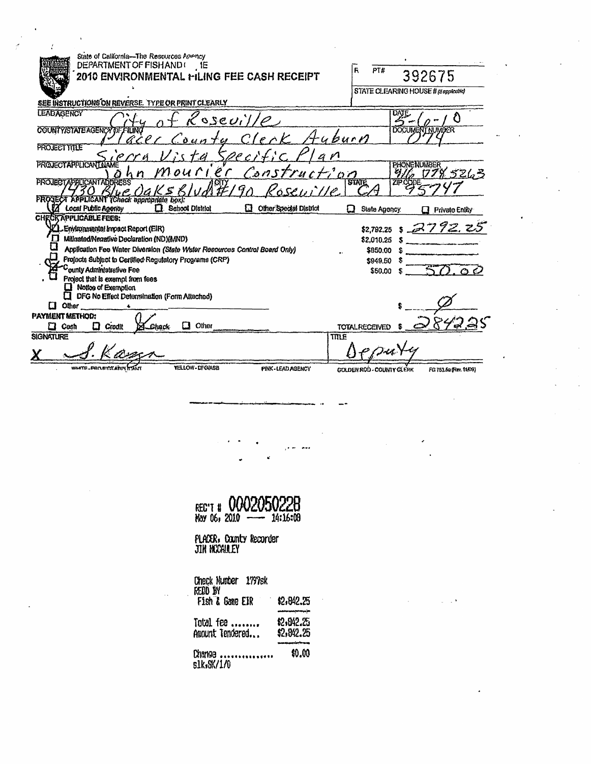| State of California-The Resources Apency                                                                                        |                                                            |
|---------------------------------------------------------------------------------------------------------------------------------|------------------------------------------------------------|
| DEPARTMENT OF FISH AND (<br>$\cdot$ , 16<br>2010 ENVIRONMENTAL MILING FEE CASH RECEIPT                                          | R<br>PT#<br>392675                                         |
|                                                                                                                                 | STATE CLEARING HOUSE # Memphooke)                          |
| SEE INSTRUCTIONS ON REVERSE. TYPE OR PRINT CLEARLY                                                                              |                                                            |
| <b>LEADAGENCY</b>                                                                                                               | DATE                                                       |
| sseuille                                                                                                                        |                                                            |
| COUNTY/STATE AGENCY OF FILING<br>uburn<br>0.4n                                                                                  | <b>DOCUMENT NUMBER</b>                                     |
| <b>PROJECT TITLE</b>                                                                                                            |                                                            |
| $\rho$ $\rho$<br><b>PROJECTAPPLICANT NAME</b>                                                                                   | PHONENUMBER                                                |
| Mourier<br>Construction<br>h n                                                                                                  | 78 5263                                                    |
| <b>PROJECTAPPLICANTADDRESS</b><br>'esevi'lle                                                                                    | <b>STATE</b><br>ZIP CODE                                   |
| PROGECT APPLICANT (Check appropriate box):<br>Local Public Agency<br><b>School District</b><br>Other Special District<br>п<br>П |                                                            |
|                                                                                                                                 | State Agoncy.<br><b>Private Enlity</b>                     |
| <b>CHECK APPLICABLE FEES:</b><br>L. Environmental Impact Report (EIR)                                                           | \$2,782.25 \$ 2792.25                                      |
| Millnated/Negative Declaration (ND)(MND)                                                                                        |                                                            |
| Application Fee Water Diversion (State Water Resources Control Board Only)                                                      | \$2,010.25<br>\$850.00                                     |
| Projects Subject to Certified Regulatory Programs (CRP)                                                                         |                                                            |
| ounty Administrative Fee                                                                                                        | \$949.50                                                   |
| Project that is exempt from fees                                                                                                | \$50.00<br>$\bullet$                                       |
| $\Box$ Notice of Exemption                                                                                                      |                                                            |
| DFG No Effect Determination (Form Attached)                                                                                     |                                                            |
| <b>Other</b><br>IJ                                                                                                              |                                                            |
| <b>PAYMENT METHOD:</b>                                                                                                          |                                                            |
| Other<br>$\Box$ Credit<br>Chack<br>l 1<br>Cash                                                                                  | <b>TOTAL RECEIVED</b>                                      |
| <b>SIGNATURE</b><br>TITLE                                                                                                       |                                                            |
|                                                                                                                                 |                                                            |
| <b>YELLOW - DFG/ASB</b><br>WHITE _PROJECT.ARIV<br>PINK-LEAD AGENCY                                                              | <b>GOLDEN ROD - COUNTY CLERK</b><br>FG 753.5a (Rev. 11/09) |
|                                                                                                                                 |                                                            |

REC'T # 0002050228

š.

لمعترف المراقي

**FLACER: County Recorder**<br>JIN NCCAULEY

Check Hunder 1797sk<br>REDD IN<br> Fish & Game EIR \$2,842.25 t2,842.25<br>\$2,842.25 Total fee ........<br>Amount Tendered... Change ................<br>slk,SK/1/0 \$0.00